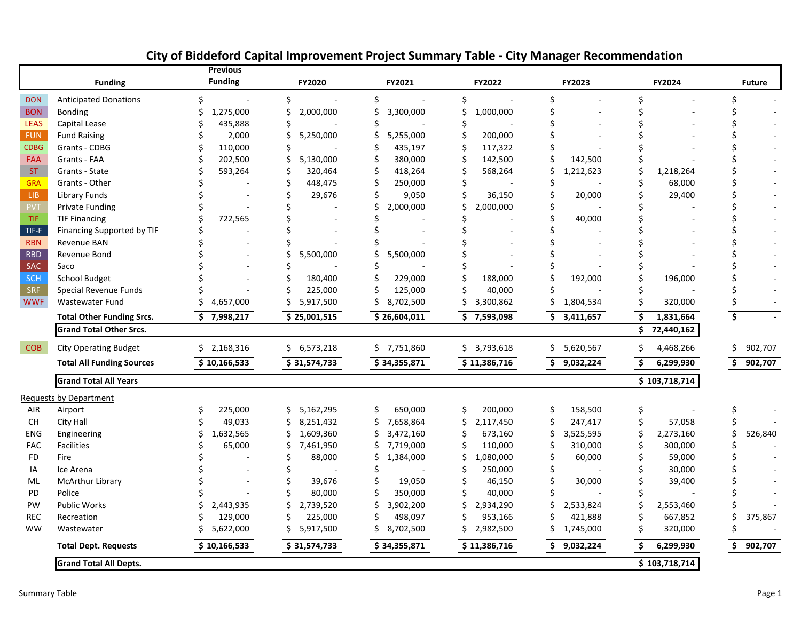|             |                                  | <b>Previous</b>          |                  |                 |                  |                 |                                       |                         |
|-------------|----------------------------------|--------------------------|------------------|-----------------|------------------|-----------------|---------------------------------------|-------------------------|
|             | <b>Funding</b>                   | <b>Funding</b>           | FY2020           | FY2021          | FY2022           | FY2023          | FY2024                                | <b>Future</b>           |
| <b>DON</b>  | <b>Anticipated Donations</b>     | $\overline{\phantom{a}}$ | \$               | \$              | \$               | \$              | \$                                    |                         |
| <b>BON</b>  | <b>Bonding</b>                   | 1,275,000                | \$<br>2,000,000  | Ś.<br>3,300,000 | 1,000,000        |                 |                                       |                         |
| <b>LEAS</b> | Capital Lease                    | 435,888                  |                  |                 |                  |                 |                                       |                         |
| <b>FUN</b>  | <b>Fund Raising</b>              | 2,000                    | 5,250,000        | 5,255,000       | 200,000          |                 |                                       |                         |
| <b>CDBG</b> | Grants - CDBG                    | 110,000                  |                  | Ś<br>435,197    | 117,322          |                 |                                       |                         |
| <b>FAA</b>  | Grants - FAA                     | 202,500                  | Ś<br>5,130,000   | 380,000         | 142,500          | 142,500         |                                       |                         |
| <b>ST</b>   | Grants - State                   | 593,264                  | 320,464          | Ś<br>418,264    | 568,264          | 1,212,623       | Ś<br>1,218,264                        |                         |
| <b>GRA</b>  | Grants - Other                   |                          | 448,475          | Ś<br>250,000    |                  |                 | 68,000                                |                         |
| ${\sf LIB}$ | Library Funds                    |                          | 29,676           | 9,050<br>Ś      | 36,150           | 20,000          | 29,400                                |                         |
| PVT         | Private Funding                  |                          |                  | 2,000,000       | 2,000,000        |                 |                                       |                         |
| <b>TIF</b>  | <b>TIF Financing</b>             | 722,565                  |                  |                 |                  | 40,000          |                                       |                         |
| TIF-F       | Financing Supported by TIF       |                          |                  |                 |                  |                 |                                       |                         |
| <b>RBN</b>  | Revenue BAN                      |                          |                  |                 |                  |                 |                                       |                         |
| <b>RBD</b>  | Revenue Bond                     |                          | 5,500,000        | Ś<br>5,500,000  |                  |                 |                                       |                         |
| SAC         | Saco                             |                          |                  |                 |                  |                 |                                       |                         |
| <b>SCH</b>  | <b>School Budget</b>             |                          | 180,400          | 229,000         | 188,000          | 192,000         | 196,000                               |                         |
| <b>SRF</b>  | Special Revenue Funds            |                          | 225,000          | 125,000<br>Ś    | 40,000           |                 |                                       |                         |
| <b>WWF</b>  | Wastewater Fund                  | 4,657,000                | 5,917,500        | Ś<br>8,702,500  | 3,300,862        | 1,804,534       | Ś<br>320,000                          |                         |
|             | <b>Total Other Funding Srcs.</b> | Ś.<br>7,998,217          | \$25,001,515     | \$26,604,011    | Ś.<br>7,593,098  | \$<br>3,411,657 | \$<br>1,831,664                       | $\overline{\mathsf{s}}$ |
|             | <b>Grand Total Other Srcs.</b>   |                          |                  |                 |                  |                 | $\overline{\mathsf{S}}$<br>72,440,162 |                         |
| <b>COB</b>  | <b>City Operating Budget</b>     | \$2,168,316              | \$6,573,218      | \$7,751,860     | 3,793,618<br>\$. | \$5,620,567     | \$.<br>4,468,266                      | Ś.<br>902,707           |
|             | <b>Total All Funding Sources</b> | \$10,166,533             | \$31,574,733     | \$34,355,871    | \$11,386,716     | \$<br>9,032,224 | \$<br>6,299,930                       | 902,707<br>S.           |
|             | <b>Grand Total All Years</b>     |                          |                  |                 |                  |                 | \$103,718,714                         |                         |
|             | <b>Requests by Department</b>    |                          |                  |                 |                  |                 |                                       |                         |
| AIR         | Airport                          | 225,000                  | \$.<br>5,162,295 | \$<br>650,000   | \$<br>200,000    | \$<br>158,500   | \$                                    |                         |
| <b>CH</b>   | City Hall                        | 49,033                   | Ś<br>8,251,432   | Ś<br>7,658,864  | Ś<br>2,117,450   | \$<br>247,417   | \$<br>57,058                          |                         |
| <b>ENG</b>  | Engineering                      | 1,632,565                | 1,609,360<br>Ś   | \$<br>3,472,160 | 673,160          | Ś<br>3,525,595  | Ś<br>2,273,160                        | 526,840                 |
| <b>FAC</b>  | <b>Facilities</b>                | 65,000                   | 7,461,950<br>S   | 7,719,000<br>S. | 110,000          | 310,000         | Ś<br>300,000                          |                         |
| FD.         | Fire                             |                          | 88,000<br>Ś      | Ś<br>1,384,000  | 1,080,000        | 60,000          | Ŝ<br>59,000                           |                         |
| ΙA          | Ice Arena                        |                          |                  |                 | 250,000          |                 | 30,000                                |                         |
| ML          | McArthur Library                 |                          | 39,676           | Ś.<br>19,050    | 46,150           | ς<br>30,000     | Ś<br>39,400                           |                         |
| PD          | Police                           |                          | 80,000           | Ś<br>350,000    | 40,000           |                 |                                       |                         |
| PW          | Public Works                     | 2,443,935                | \$<br>2,739,520  | \$<br>3,902,200 | 2,934,290        | Ś<br>2,533,824  | \$<br>2,553,460                       |                         |
| <b>REC</b>  | Recreation                       | 129,000                  | 225,000          | 498,097         | 953,166          | 421,888         | 667,852                               | 375,867                 |
| <b>WW</b>   | Wastewater                       | 5,622,000                | 5,917,500        | 8,702,500<br>Ś. | 2,982,500<br>S   | 1,745,000       | Ś.<br>320,000                         |                         |
|             | <b>Total Dept. Requests</b>      | \$10,166,533             | \$31,574,733     | \$34,355,871    | \$11,386,716     | 9,032,224<br>\$ | \$<br>6,299,930                       | 902,707<br>\$.          |
|             | <b>Grand Total All Depts.</b>    |                          |                  |                 |                  |                 | \$103,718,714                         |                         |

# **City of Biddeford Capital Improvement Project Summary Table ‐ City Manager Recommendation**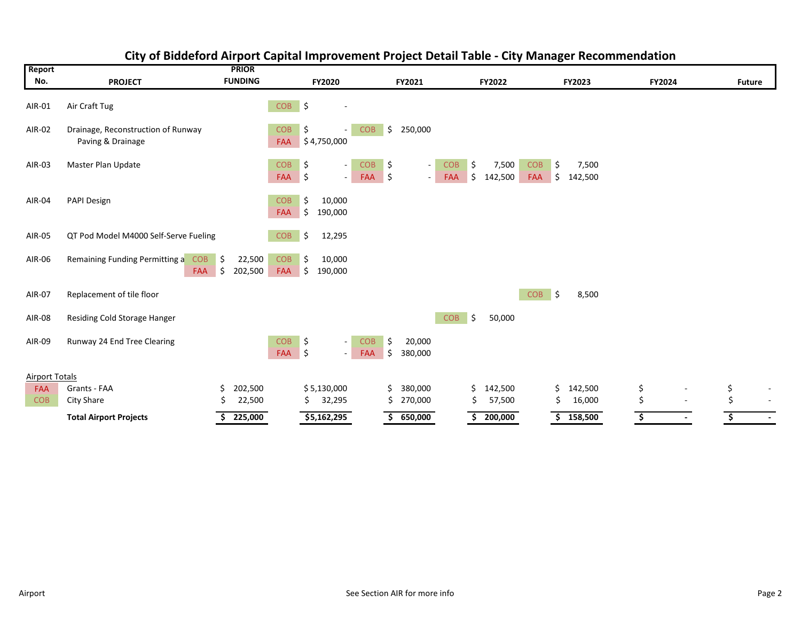| Report                |                                                         |          | <b>PRIOR</b>      |                      |          |                    |                   |                                |                   |                   |               |                  |                   |            |                  |        |                |               |                          |
|-----------------------|---------------------------------------------------------|----------|-------------------|----------------------|----------|--------------------|-------------------|--------------------------------|-------------------|-------------------|---------------|------------------|-------------------|------------|------------------|--------|----------------|---------------|--------------------------|
| No.                   | <b>PROJECT</b>                                          |          | <b>FUNDING</b>    |                      |          | FY2020             |                   |                                | FY2021            |                   |               | FY2022           |                   |            | FY2023           | FY2024 |                | <b>Future</b> |                          |
| AIR-01                | Air Craft Tug                                           |          |                   | COB \$               |          |                    |                   |                                |                   |                   |               |                  |                   |            |                  |        |                |               |                          |
| AIR-02                | Drainage, Reconstruction of Runway<br>Paving & Drainage |          |                   | <b>COB</b>           | \$       | FAA \$4,750,000    | <b>COB</b>        | \$                             | 250,000           |                   |               |                  |                   |            |                  |        |                |               |                          |
| AIR-03                | Master Plan Update                                      |          |                   | <b>COB</b><br>FAA \$ | \$       | $\sim$<br>$\sim$   | <b>COB</b><br>FAA | \$<br>$\vert \mathsf{s} \vert$ | $\sim$<br>$\sim$  | <b>COB</b><br>FAA | \$<br>$\zeta$ | 7,500<br>142,500 | <b>COB</b><br>FAA | -\$<br>∣\$ | 7,500<br>142,500 |        |                |               |                          |
| AIR-04                | PAPI Design                                             |          |                   | <b>COB</b><br>FAA    | \$<br>\$ | 10,000<br>190,000  |                   |                                |                   |                   |               |                  |                   |            |                  |        |                |               |                          |
| AIR-05                | QT Pod Model M4000 Self-Serve Fueling                   |          |                   | <b>COB</b>           | \$       | 12,295             |                   |                                |                   |                   |               |                  |                   |            |                  |        |                |               |                          |
| AIR-06                | Remaining Funding Permitting a<br><b>COB</b><br>FAA     | \$<br>\$ | 22,500<br>202,500 | <b>COB</b><br>FAA    | Ŝ.<br>\$ | 10,000<br>190,000  |                   |                                |                   |                   |               |                  |                   |            |                  |        |                |               |                          |
| AIR-07                | Replacement of tile floor                               |          |                   |                      |          |                    |                   |                                |                   |                   |               |                  | <b>COB</b>        | ∣\$        | 8,500            |        |                |               |                          |
| AIR-08                | Residing Cold Storage Hanger                            |          |                   |                      |          |                    |                   |                                |                   | <b>COB</b>        | $\ddot{\phi}$ | 50,000           |                   |            |                  |        |                |               |                          |
| AIR-09                | Runway 24 End Tree Clearing                             |          |                   | <b>COB</b><br>FAA    | \$<br>\$ | $\sim$<br>$\omega$ | <b>COB</b><br>FAA | \$<br>\$                       | 20,000<br>380,000 |                   |               |                  |                   |            |                  |        |                |               |                          |
| <b>Airport Totals</b> |                                                         |          |                   |                      |          |                    |                   |                                |                   |                   |               |                  |                   |            |                  |        |                |               |                          |
| FAA                   | Grants - FAA                                            |          | 202,500           |                      |          | \$5,130,000        |                   | Ś                              | 380,000           |                   | Ś.            | 142,500          |                   | \$.        | 142,500          | \$     |                | \$            |                          |
| <b>COB</b>            | City Share                                              |          | 22,500            |                      | S        | 32,295             |                   |                                | 270,000           |                   |               | 57,500           |                   | Ś          | 16,000           | \$     |                | \$            | $\blacksquare$           |
|                       | <b>Total Airport Projects</b>                           |          | 225,000           |                      |          | \$5,162,295        |                   |                                | 650,000           |                   |               | 200,000          |                   |            | \$158,500        | \$     | $\blacksquare$ | \$            | $\overline{\phantom{a}}$ |

## **City of Biddeford Airport Capital Improvement Project Detail Table ‐ City Manager Recommendation**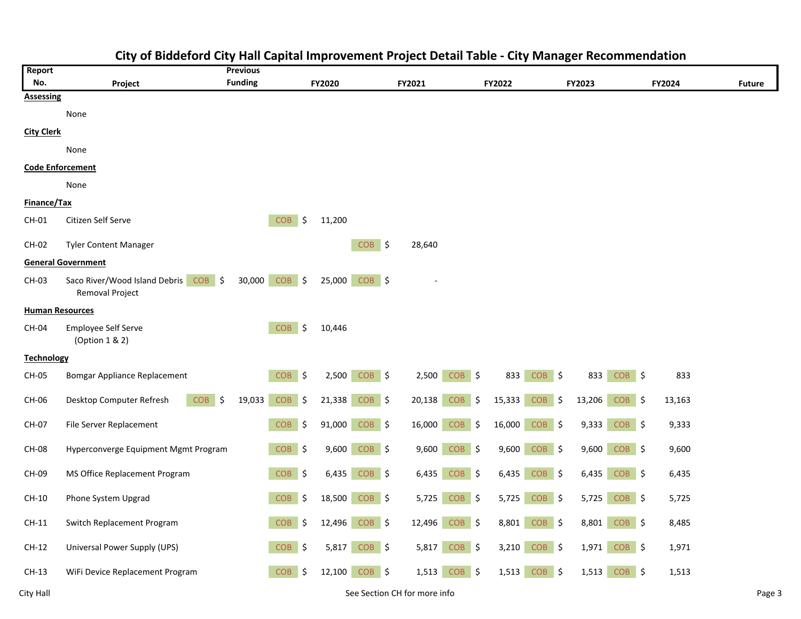| Report                  |                                                         | <b>Previous</b> |                             |        |                   |                    |        |             |        |          |        |               |
|-------------------------|---------------------------------------------------------|-----------------|-----------------------------|--------|-------------------|--------------------|--------|-------------|--------|----------|--------|---------------|
| No.                     | Project                                                 | <b>Funding</b>  |                             | FY2020 |                   | FY2021             | FY2022 |             | FY2023 |          | FY2024 | <b>Future</b> |
| <b>Assessing</b>        |                                                         |                 |                             |        |                   |                    |        |             |        |          |        |               |
|                         | None                                                    |                 |                             |        |                   |                    |        |             |        |          |        |               |
| <b>City Clerk</b>       |                                                         |                 |                             |        |                   |                    |        |             |        |          |        |               |
|                         | None                                                    |                 |                             |        |                   |                    |        |             |        |          |        |               |
| <b>Code Enforcement</b> |                                                         |                 |                             |        |                   |                    |        |             |        |          |        |               |
|                         | None                                                    |                 |                             |        |                   |                    |        |             |        |          |        |               |
| Finance/Tax             |                                                         |                 |                             |        |                   |                    |        |             |        |          |        |               |
| CH-01                   | Citizen Self Serve                                      |                 | <b>COB</b><br>$\vert$ \$    | 11,200 |                   |                    |        |             |        |          |        |               |
| CH-02                   | <b>Tyler Content Manager</b>                            |                 |                             |        | COB \$            | 28,640             |        |             |        |          |        |               |
|                         | <b>General Government</b>                               |                 |                             |        |                   |                    |        |             |        |          |        |               |
| CH-03                   | Saco River/Wood Island Debris COB \$<br>Removal Project | 30,000          | $COB$ \$                    | 25,000 | COB \$            |                    |        |             |        |          |        |               |
| <b>Human Resources</b>  |                                                         |                 |                             |        |                   |                    |        |             |        |          |        |               |
| CH-04                   | Employee Self Serve<br>(Option 1 & 2)                   |                 | COB<br>\$                   | 10,446 |                   |                    |        |             |        |          |        |               |
| <b>Technology</b>       |                                                         |                 |                             |        |                   |                    |        |             |        |          |        |               |
| CH-05                   | Bomgar Appliance Replacement                            |                 | $COB$ \$                    | 2,500  | COB <sub>\$</sub> | $COB$ \$<br>2,500  | 833    | $COB$ \$    | 833    | $COB$ \$ | 833    |               |
| CH-06                   | <b>COB</b><br>Desktop Computer Refresh<br>\$            | 19,033          | COB<br><u> \$</u>           | 21,338 | $COB$ \$          | 20,138<br>$COB$ \$ | 15,333 | COB  <br>\$ | 13,206 | $COB$ \$ | 13,163 |               |
| CH-07                   | File Server Replacement                                 |                 | COB<br>$\frac{1}{2}$        | 91,000 | $COB$ \$          | 16,000<br>$COB$ \$ | 16,000 | $COB$ \$    | 9,333  | $COB$ \$ | 9,333  |               |
| <b>CH-08</b>            | Hyperconverge Equipment Mgmt Program                    |                 | $COB$ \$                    | 9,600  | $COB$ \$          | 9,600<br>$COB$ \$  | 9,600  | $COB$ \$    | 9,600  | $COB$ \$ | 9,600  |               |
| CH-09                   | MS Office Replacement Program                           |                 | $COB$ \$                    | 6,435  | COB \$            | 6,435<br>COB \$    | 6,435  | $COB$ \$    | 6,435  | $COB$ \$ | 6,435  |               |
| CH-10                   | Phone System Upgrad                                     |                 | $\ddot{\phi}$<br><b>COB</b> | 18,500 | COB <sub>\$</sub> | $COB$ \$<br>5,725  | 5,725  | COB \$      | 5,725  | $COB$ \$ | 5,725  |               |
| $CH-11$                 | Switch Replacement Program                              |                 | <b>COB</b><br>\$            | 12,496 | COB \$            | 12,496<br>$COB$ \$ | 8,801  | $COB$ \$    | 8,801  | $COB$ \$ | 8,485  |               |
| CH-12                   | Universal Power Supply (UPS)                            |                 | $COB$ \$                    | 5,817  | $COB$ \$          | 5,817<br>$COB$ \$  | 3,210  | $COB$ \$    | 1,971  | $COB$ \$ | 1,971  |               |
| $CH-13$                 | WiFi Device Replacement Program                         |                 | COB<br>\$                   | 12,100 | $COB$ \$          | 1,513<br>$COB$ \$  | 1,513  | $COB$ \$    | 1,513  | $COB$ \$ | 1,513  |               |

# **City of Biddeford City Hall Capital Improvement Project Detail Table ‐ City Manager Recommendation**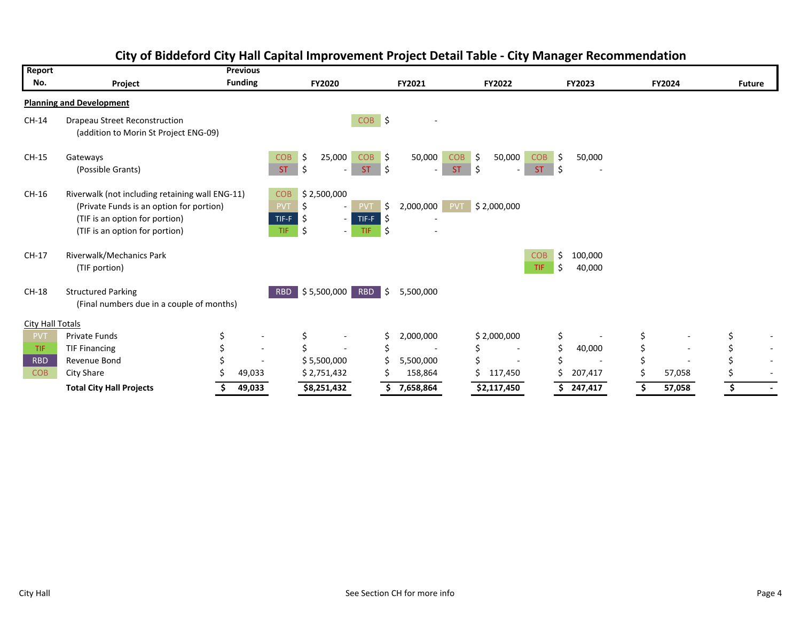| Report           |                                                                                                                                                                 | <b>Previous</b>          |                                           |                               |                                                               |                             |                                                                      |                                |                   |        |                          |
|------------------|-----------------------------------------------------------------------------------------------------------------------------------------------------------------|--------------------------|-------------------------------------------|-------------------------------|---------------------------------------------------------------|-----------------------------|----------------------------------------------------------------------|--------------------------------|-------------------|--------|--------------------------|
| No.              | Project                                                                                                                                                         | <b>Funding</b>           |                                           | <b>FY2020</b>                 |                                                               | FY2021                      | <b>FY2022</b>                                                        |                                | <b>FY2023</b>     | FY2024 | <b>Future</b>            |
|                  | <b>Planning and Development</b>                                                                                                                                 |                          |                                           |                               |                                                               |                             |                                                                      |                                |                   |        |                          |
| CH-14            | <b>Drapeau Street Reconstruction</b><br>(addition to Morin St Project ENG-09)                                                                                   |                          |                                           |                               | $COB$ \$                                                      |                             |                                                                      |                                |                   |        |                          |
| CH-15            | Gateways<br>(Possible Grants)                                                                                                                                   |                          | <b>COB</b><br><b>ST</b>                   | \$<br>25,000<br>\$            | <b>COB</b><br><b>ST</b>                                       | 50,000<br>\$<br>Ś<br>$\sim$ | <b>COB</b><br>\$.<br>50,000<br><b>ST</b><br>$\overline{\phantom{a}}$ | <b>COB</b><br>S.<br>ST.<br>-\$ | 50,000            |        |                          |
| CH-16            | Riverwalk (not including retaining wall ENG-11)<br>(Private Funds is an option for portion)<br>(TIF is an option for portion)<br>(TIF is an option for portion) |                          | <b>COB</b><br><b>PVT</b><br>TIF-F<br>TIF. | \$2,500,000<br>\$<br>\$<br>\$ | <b>PVT</b><br>TIF-F<br><b>TIF</b><br>$\overline{\phantom{a}}$ | 2,000,000<br>Ŝ.<br>\$<br>\$ | \$2,000,000<br><b>PVT</b>                                            |                                |                   |        |                          |
| CH-17            | Riverwalk/Mechanics Park<br>(TIF portion)                                                                                                                       |                          |                                           |                               |                                                               |                             |                                                                      | <b>COB</b><br>\$<br>Ŝ.<br>TIF. | 100,000<br>40,000 |        |                          |
| CH-18            | <b>Structured Parking</b><br>(Final numbers due in a couple of months)                                                                                          |                          | <b>RBD</b>                                | $\frac{1}{2}$ \$5,500,000     | RBD \$                                                        | 5,500,000                   |                                                                      |                                |                   |        |                          |
| City Hall Totals |                                                                                                                                                                 |                          |                                           |                               |                                                               |                             |                                                                      |                                |                   |        |                          |
| <b>PVT</b>       | <b>Private Funds</b>                                                                                                                                            |                          |                                           | \$                            |                                                               | 2,000,000<br>Ś              | \$2,000,000                                                          | \$                             |                   |        | Ś                        |
| <b>TIF</b>       | <b>TIF Financing</b>                                                                                                                                            | $\overline{\phantom{0}}$ |                                           |                               |                                                               |                             |                                                                      | Ś.                             | 40,000            |        | $\overline{\phantom{a}}$ |
| <b>RBD</b>       | Revenue Bond                                                                                                                                                    |                          |                                           | \$5,500,000                   |                                                               | 5,500,000                   |                                                                      |                                |                   |        | $\overline{\phantom{a}}$ |
| <b>COB</b>       | City Share                                                                                                                                                      | 49,033                   |                                           | \$2,751,432                   |                                                               | 158,864                     | Ś.<br>117,450                                                        |                                | 207,417           | 57,058 | $\overline{\phantom{a}}$ |
|                  | <b>Total City Hall Projects</b>                                                                                                                                 | 49,033                   |                                           | \$8,251,432                   |                                                               | 7,658,864                   | \$2,117,450                                                          |                                | 247,417           | 57,058 |                          |

## **City of Biddeford City Hall Capital Improvement Project Detail Table ‐ City Manager Recommendation**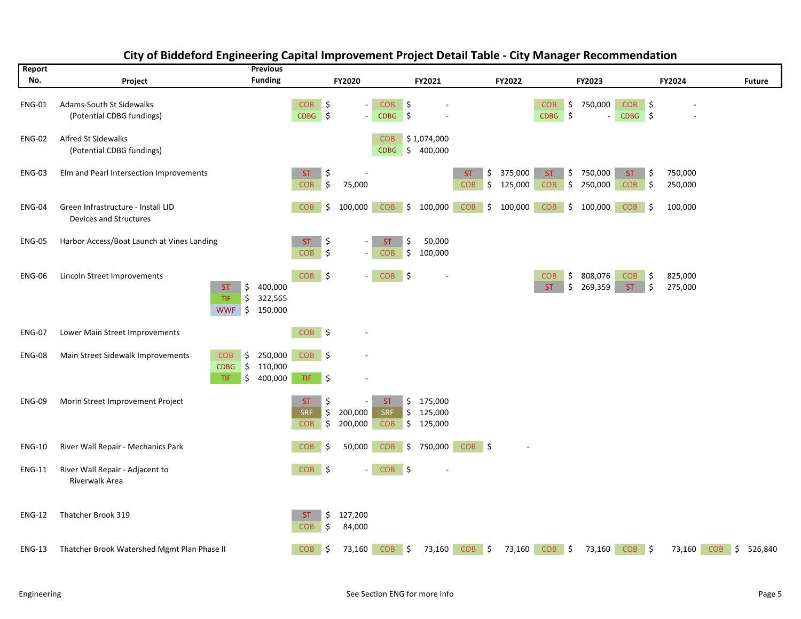| Report<br>No. | Project                                                      |                                                 | <b>Previous</b><br><b>Funding</b>           |                                | FY2020                               |                                                                         |                              | FY2021                          |                   |          | FY2022             |                           |            | FY2023             |                         |          | FY2024             |            | <b>Future</b> |
|---------------|--------------------------------------------------------------|-------------------------------------------------|---------------------------------------------|--------------------------------|--------------------------------------|-------------------------------------------------------------------------|------------------------------|---------------------------------|-------------------|----------|--------------------|---------------------------|------------|--------------------|-------------------------|----------|--------------------|------------|---------------|
| <b>ENG-01</b> | Adams-South St Sidewalks<br>(Potential CDBG fundings)        |                                                 |                                             | <b>COB</b><br>$CDBG$ \$        | \$                                   | <b>COB</b><br>$\blacksquare$<br><b>CDBG</b><br>$\overline{\phantom{a}}$ | $\ddot{\phi}$<br>$\vert \xi$ |                                 |                   |          |                    | <b>COB</b><br><b>CDBG</b> | \$<br>l \$ | 750,000            | <b>COB</b><br>CDBG \$   | \$       |                    |            |               |
| ENG-02        | Alfred St Sidewalks<br>(Potential CDBG fundings)             |                                                 |                                             |                                |                                      | <b>COB</b><br><b>CDBG</b>                                               | \$                           | \$1,074,000<br>400,000          |                   |          |                    |                           |            |                    |                         |          |                    |            |               |
| <b>ENG-03</b> | Elm and Pearl Intersection Improvements                      |                                                 |                                             | <b>ST</b><br><b>COB</b>        | \$<br>\$                             | 75,000                                                                  |                              |                                 | ST.<br><b>COB</b> | \$<br>\$ | 375,000<br>125,000 | <b>ST</b><br><b>COB</b>   | \$<br>\$   | 750,000<br>250,000 | <b>ST</b><br><b>COB</b> | \$<br>\$ | 750,000<br>250,000 |            |               |
| <b>ENG-04</b> | Green Infrastructure - Install LID<br>Devices and Structures |                                                 |                                             | <b>COB</b>                     | \$<br>100,000                        | <b>COB</b>                                                              | \$                           | 100,000                         | <b>COB</b>        | \$       | 100,000            | <b>COB</b>                | \$         | 100,000            | <b>COB</b>              | -\$      | 100,000            |            |               |
| <b>ENG-05</b> | Harbor Access/Boat Launch at Vines Landing                   |                                                 |                                             | ST<br><b>COB</b>               | \$<br>\$                             | <b>ST</b><br>$\overline{\phantom{a}}$<br>COB<br>$\blacksquare$          | \$<br>\$                     | 50,000<br>100,000               |                   |          |                    |                           |            |                    |                         |          |                    |            |               |
| <b>ENG-06</b> | Lincoln Street Improvements                                  | <b>ST</b><br>TIF<br><b>WWF</b>                  | \$<br>400,000<br>\$<br>322,565<br>\$150,000 | <b>COB</b>                     | -\$                                  | <b>COB</b><br>$\sim$                                                    | \$                           |                                 |                   |          |                    | <b>COB</b><br>ST.         | \$<br>\$   | 808,076<br>269,359 | <b>COB</b><br><b>ST</b> | \$<br>Ś  | 825,000<br>275,000 |            |               |
| <b>ENG-07</b> | Lower Main Street Improvements                               |                                                 |                                             | $COB$ \$                       |                                      |                                                                         |                              |                                 |                   |          |                    |                           |            |                    |                         |          |                    |            |               |
| <b>ENG-08</b> | Main Street Sidewalk Improvements                            | <b>COB</b><br>$\vert$ \$<br><b>CDBG</b><br>TIF. | \$<br>250,000<br>110,000<br>\$<br>400,000   | $COB$ \$<br>TIF.<br>$\vert$ \$ |                                      |                                                                         |                              |                                 |                   |          |                    |                           |            |                    |                         |          |                    |            |               |
| <b>ENG-09</b> | Morin Street Improvement Project                             |                                                 |                                             | <b>ST</b><br>SRF<br><b>COB</b> | \$<br>\$<br>200,000<br>\$<br>200,000 | <b>ST</b><br>$\overline{\phantom{a}}$<br><b>SRF</b><br><b>COB</b>       | \$<br>\$                     | 175,000<br>\$125,000<br>125,000 |                   |          |                    |                           |            |                    |                         |          |                    |            |               |
| <b>ENG-10</b> | River Wall Repair - Mechanics Park                           |                                                 |                                             | COB                            | \$                                   | <b>COB</b><br>50,000                                                    | \$                           | 750,000                         | $COB$ \$          |          |                    |                           |            |                    |                         |          |                    |            |               |
| <b>ENG-11</b> | River Wall Repair - Adjacent to<br>Riverwalk Area            |                                                 |                                             | $\vert$ \$<br><b>COB</b>       |                                      | $\overline{\phantom{a}}$                                                | $COB$ \$                     |                                 |                   |          |                    |                           |            |                    |                         |          |                    |            |               |
| <b>ENG-12</b> | Thatcher Brook 319                                           |                                                 |                                             | <b>ST</b><br><b>COB</b>        | \$<br>127,200<br>\$                  | 84,000                                                                  |                              |                                 |                   |          |                    |                           |            |                    |                         |          |                    |            |               |
| <b>ENG-13</b> | Thatcher Brook Watershed Mgmt Plan Phase II                  |                                                 |                                             | <b>COB</b>                     | \$                                   | 73,160<br><b>COB</b>                                                    | \$                           | 73,160                          | <b>COB</b>        | \$       | 73,160             | <b>COB</b>                | \$         | 73,160             | $COB$ \$                |          | 73,160             | <b>COB</b> | \$<br>526,840 |

#### **City of Biddeford Engineering Capital Improvement Project Detail Table ‐ City Manager Recommendation**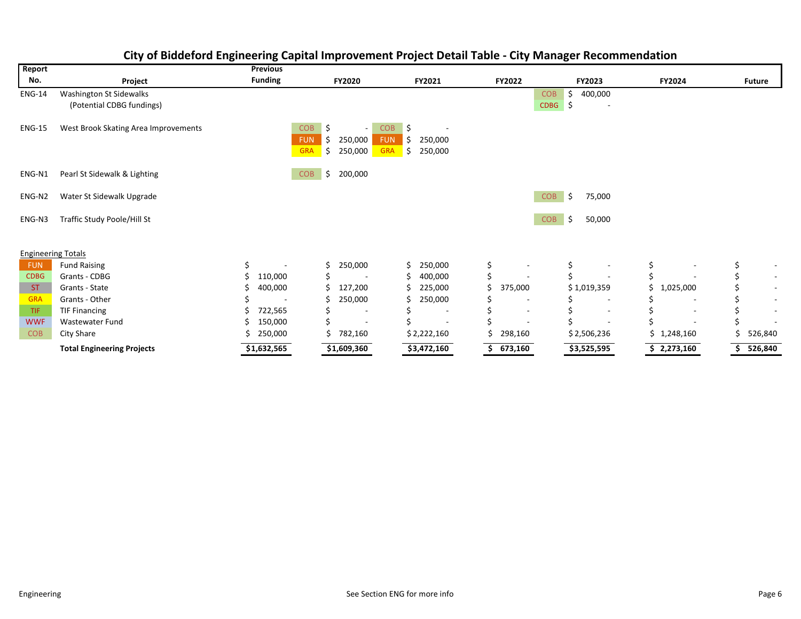| Report                    |                                                      | <b>Previous</b> |                                                                                                             |                                                                                 |                          |                                                 |                 |                          |
|---------------------------|------------------------------------------------------|-----------------|-------------------------------------------------------------------------------------------------------------|---------------------------------------------------------------------------------|--------------------------|-------------------------------------------------|-----------------|--------------------------|
| No.                       | Project                                              | <b>Funding</b>  | <b>FY2020</b>                                                                                               | FY2021                                                                          | FY2022                   | FY2023                                          | FY2024          | <b>Future</b>            |
| <b>ENG-14</b>             | Washington St Sidewalks<br>(Potential CDBG fundings) |                 |                                                                                                             |                                                                                 | <b>COB</b><br>CDBG       | Ś.<br>400,000<br>Ŝ.<br>$\overline{\phantom{a}}$ |                 |                          |
| <b>ENG-15</b>             | West Brook Skating Area Improvements                 |                 | \$<br><b>COB</b><br>$\overline{\phantom{a}}$<br><b>FUN</b><br>250,000<br>\$.<br><b>GRA</b><br>\$<br>250,000 | \$<br><b>COB</b><br><b>FUN</b><br>250,000<br>-\$<br><b>GRA</b><br>250,000<br>\$ |                          |                                                 |                 |                          |
| ENG-N1                    | Pearl St Sidewalk & Lighting                         |                 | \$<br>200,000<br><b>COB</b>                                                                                 |                                                                                 |                          |                                                 |                 |                          |
| ENG-N2                    | Water St Sidewalk Upgrade                            |                 |                                                                                                             |                                                                                 | <b>COB</b>               | Ŝ.<br>75,000                                    |                 |                          |
| ENG-N3                    | Traffic Study Poole/Hill St                          |                 |                                                                                                             |                                                                                 | <b>COB</b>               | \$<br>50,000                                    |                 |                          |
| <b>Engineering Totals</b> |                                                      |                 |                                                                                                             |                                                                                 |                          |                                                 |                 |                          |
| <b>FUN</b>                | <b>Fund Raising</b>                                  | \$              | 250,000                                                                                                     | Ś<br>250,000                                                                    | \$                       | \$                                              | \$              | Ś                        |
| <b>CDBG</b>               | Grants - CDBG                                        | 110,000         | $\overline{\phantom{a}}$                                                                                    | 400,000                                                                         |                          |                                                 |                 | $\sim$                   |
| <b>ST</b>                 | Grants - State                                       | 400,000         | 127,200                                                                                                     | 225,000                                                                         | 375,000                  | \$1,019,359                                     | 1,025,000<br>Ś. | $\sim$                   |
| <b>GRA</b>                | Grants - Other                                       |                 | 250,000                                                                                                     | 250,000                                                                         |                          |                                                 |                 | $\sim$                   |
| TIF.                      | <b>TIF Financing</b>                                 | 722,565         |                                                                                                             |                                                                                 | $\overline{\phantom{a}}$ | $\overline{\phantom{a}}$                        |                 | $\overline{\phantom{0}}$ |
| <b>WWF</b>                | <b>Wastewater Fund</b>                               | 150,000         | $\blacksquare$                                                                                              |                                                                                 |                          |                                                 |                 |                          |
| <b>COB</b>                | City Share                                           | 250,000         | 782,160                                                                                                     | \$2,222,160                                                                     | 298,160                  | \$2,506,236                                     | 1,248,160<br>Ś. | 526,840                  |
|                           | <b>Total Engineering Projects</b>                    | \$1,632,565     | \$1,609,360                                                                                                 | \$3,472,160                                                                     | 673,160                  | \$3,525,595                                     | \$2,273,160     | 526,840                  |

#### **City of Biddeford Engineering Capital Improvement Project Detail Table ‐ City Manager Recommendation**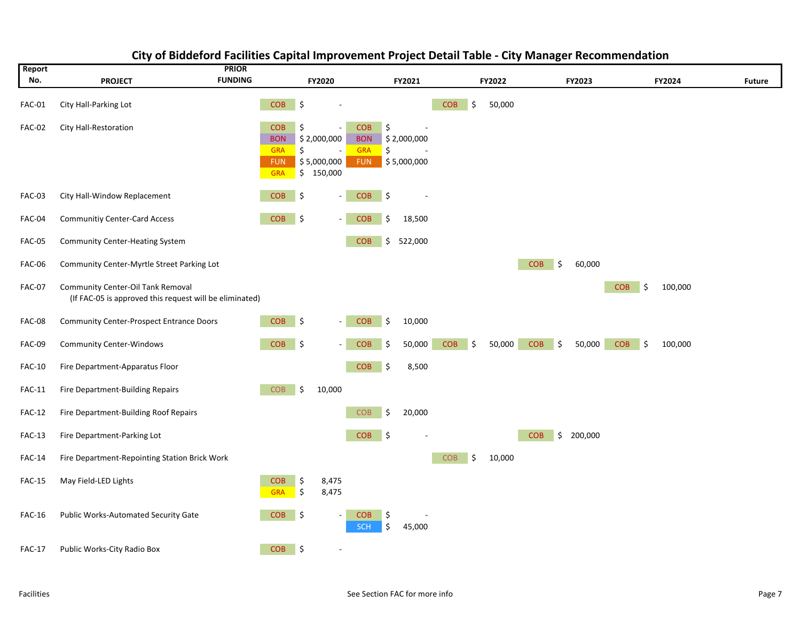| Report        |                                                                                                     | <b>PRIOR</b>                                                       |          |                                         |                                                      |          |                            |            |              |            |        |         |            |    |         |               |
|---------------|-----------------------------------------------------------------------------------------------------|--------------------------------------------------------------------|----------|-----------------------------------------|------------------------------------------------------|----------|----------------------------|------------|--------------|------------|--------|---------|------------|----|---------|---------------|
| No.           | <b>PROJECT</b>                                                                                      | <b>FUNDING</b>                                                     |          | FY2020                                  |                                                      |          | FY2021                     |            | FY2022       |            | FY2023 |         |            |    | FY2024  | <b>Future</b> |
| <b>FAC-01</b> | City Hall-Parking Lot                                                                               | COB                                                                | \$       |                                         |                                                      |          |                            | <b>COB</b> | \$<br>50,000 |            |        |         |            |    |         |               |
| <b>FAC-02</b> | City Hall-Restoration                                                                               | <b>COB</b><br><b>BON</b><br><b>GRA</b><br><b>FUN</b><br><b>GRA</b> | \$<br>\$ | \$2,000,000<br>\$5,000,000<br>\$150,000 | <b>COB</b><br><b>BON</b><br><b>GRA</b><br><b>FUN</b> | \$<br>\$ | \$2,000,000<br>\$5,000,000 |            |              |            |        |         |            |    |         |               |
| <b>FAC-03</b> | City Hall-Window Replacement                                                                        | <b>COB</b>                                                         | \$       |                                         | <b>COB</b>                                           | \$       |                            |            |              |            |        |         |            |    |         |               |
| FAC-04        | <b>Communitiy Center-Card Access</b>                                                                | <b>COB</b>                                                         | \$       |                                         | <b>COB</b>                                           | \$       | 18,500                     |            |              |            |        |         |            |    |         |               |
| <b>FAC-05</b> | <b>Community Center-Heating System</b>                                                              |                                                                    |          |                                         | <b>COB</b>                                           | \$       | 522,000                    |            |              |            |        |         |            |    |         |               |
| FAC-06        | Community Center-Myrtle Street Parking Lot                                                          |                                                                    |          |                                         |                                                      |          |                            |            |              | <b>COB</b> | \$     | 60,000  |            |    |         |               |
| <b>FAC-07</b> | <b>Community Center-Oil Tank Removal</b><br>(If FAC-05 is approved this request will be eliminated) |                                                                    |          |                                         |                                                      |          |                            |            |              |            |        |         | <b>COB</b> | \$ | 100,000 |               |
| <b>FAC-08</b> | <b>Community Center-Prospect Entrance Doors</b>                                                     | <b>COB</b>                                                         | ∣\$      |                                         | <b>COB</b>                                           | \$       | 10,000                     |            |              |            |        |         |            |    |         |               |
| <b>FAC-09</b> | <b>Community Center-Windows</b>                                                                     | <b>COB</b>                                                         | \$       |                                         | <b>COB</b>                                           | \$       | 50,000                     | <b>COB</b> | \$<br>50,000 | <b>COB</b> | \$     | 50,000  | <b>COB</b> | \$ | 100,000 |               |
| <b>FAC-10</b> | Fire Department-Apparatus Floor                                                                     |                                                                    |          |                                         | <b>COB</b>                                           | \$       | 8,500                      |            |              |            |        |         |            |    |         |               |
| <b>FAC-11</b> | Fire Department-Building Repairs                                                                    | <b>COB</b>                                                         | \$       | 10,000                                  |                                                      |          |                            |            |              |            |        |         |            |    |         |               |
| <b>FAC-12</b> | Fire Department-Building Roof Repairs                                                               |                                                                    |          |                                         | <b>COB</b>                                           | \$       | 20,000                     |            |              |            |        |         |            |    |         |               |
| <b>FAC-13</b> | Fire Department-Parking Lot                                                                         |                                                                    |          |                                         | <b>COB</b>                                           | \$       |                            |            |              | <b>COB</b> | \$     | 200,000 |            |    |         |               |
| <b>FAC-14</b> | Fire Department-Repointing Station Brick Work                                                       |                                                                    |          |                                         |                                                      |          |                            | <b>COB</b> | \$<br>10,000 |            |        |         |            |    |         |               |
| FAC-15        | May Field-LED Lights                                                                                | <b>COB</b><br><b>GRA</b>                                           | \$<br>\$ | 8,475<br>8,475                          |                                                      |          |                            |            |              |            |        |         |            |    |         |               |
| FAC-16        | Public Works-Automated Security Gate                                                                | <b>COB</b>                                                         | \$       |                                         | <b>COB</b><br><b>SCH</b>                             | \$<br>\$ | 45,000                     |            |              |            |        |         |            |    |         |               |
| <b>FAC-17</b> | Public Works-City Radio Box                                                                         | <b>COB</b>                                                         | ∣\$      |                                         |                                                      |          |                            |            |              |            |        |         |            |    |         |               |

#### **City of Biddeford Facilities Capital Improvement Project Detail Table ‐ City Manager Recommendation**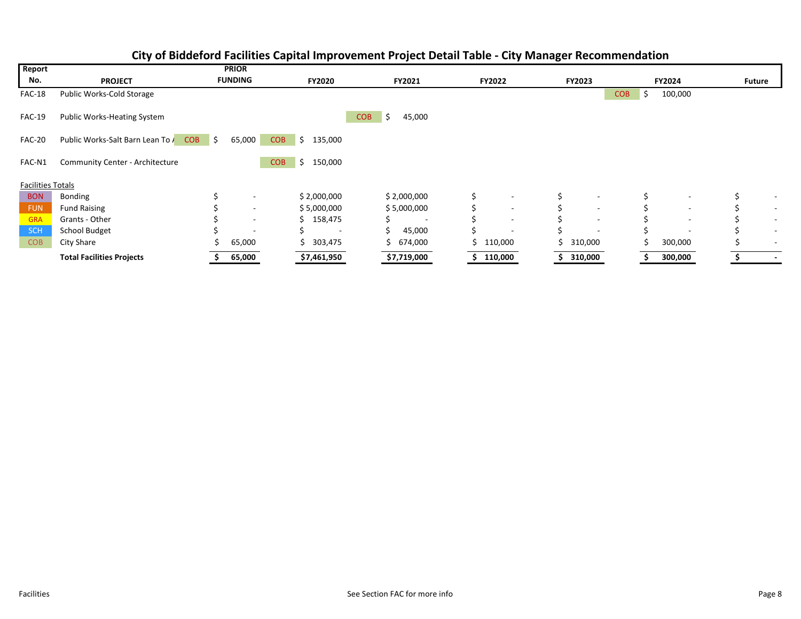| Report                   |                                    |    | <b>PRIOR</b>             |                             |                            |               |                          |                          |                  |               |               |                          |
|--------------------------|------------------------------------|----|--------------------------|-----------------------------|----------------------------|---------------|--------------------------|--------------------------|------------------|---------------|---------------|--------------------------|
| No.                      | <b>PROJECT</b>                     |    | <b>FUNDING</b>           | <b>FY2020</b>               | <b>FY2021</b>              | <b>FY2022</b> |                          | <b>FY2023</b>            |                  | <b>FY2024</b> | <b>Future</b> |                          |
| FAC-18                   | Public Works-Cold Storage          |    |                          |                             |                            |               |                          |                          | <b>COB</b><br>-S | 100,000       |               |                          |
| <b>FAC-19</b>            | <b>Public Works-Heating System</b> |    |                          |                             | <b>COB</b><br>\$<br>45,000 |               |                          |                          |                  |               |               |                          |
| <b>FAC-20</b>            | Public Works-Salt Barn Lean To COB | S. | 65,000                   | 135,000<br><b>COB</b><br>Ŝ. |                            |               |                          |                          |                  |               |               |                          |
| FAC-N1                   | Community Center - Architecture    |    |                          | 150,000<br><b>COB</b><br>\$ |                            |               |                          |                          |                  |               |               |                          |
| <b>Facilities Totals</b> |                                    |    |                          |                             |                            |               |                          |                          |                  |               |               |                          |
| <b>BON</b>               | Bonding                            |    |                          | \$2,000,000                 | \$2,000,000                | \$            |                          |                          |                  |               |               |                          |
| <b>FUN</b>               | <b>Fund Raising</b>                |    | $\overline{\phantom{0}}$ | \$5,000,000                 | \$5,000,000                |               | $\overline{\phantom{a}}$ | $\overline{\phantom{a}}$ |                  | ٠             |               | $\overline{\phantom{a}}$ |
| <b>GRA</b>               | Grants - Other                     |    | $\overline{\phantom{a}}$ | \$158,475                   |                            |               |                          |                          |                  |               |               |                          |
| <b>SCH</b>               | School Budget                      |    |                          | $\overline{\phantom{a}}$    | 45,000                     |               |                          |                          |                  |               |               |                          |
| <b>COB</b>               | City Share                         |    | 65,000                   | \$303,475                   | \$674,000                  | 110,000       |                          | \$310,000                | S                | 300,000       |               | $\overline{\phantom{a}}$ |
|                          | <b>Total Facilities Projects</b>   |    | 65,000                   | \$7,461,950                 | \$7,719,000                | 110,000       |                          | 310,000                  |                  | 300,000       |               |                          |

#### **City of Biddeford Facilities Capital Improvement Project Detail Table ‐ City Manager Recommendation**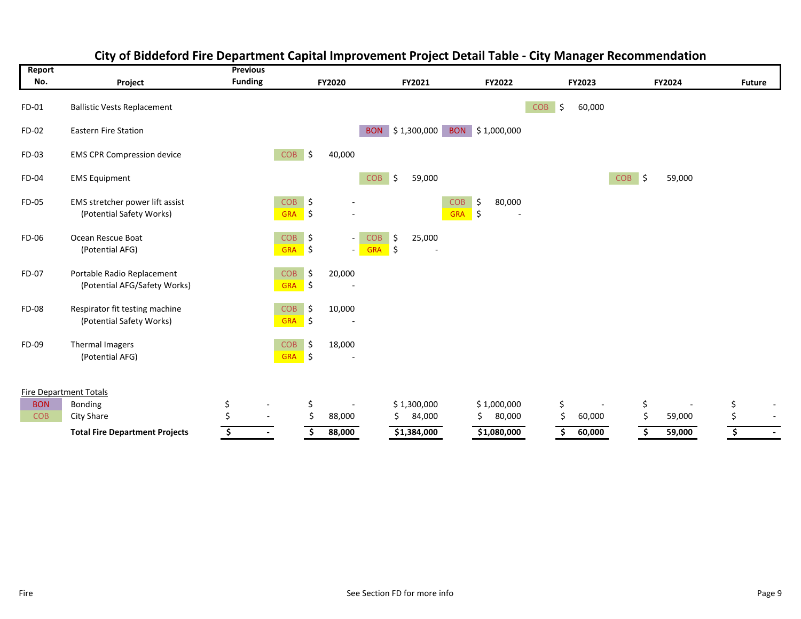| Report                        |                                                             | <b>Previous</b> |                          |                     |                                    |                      |               |                   |          |                 |                  |               |                          |    |               |               |        |
|-------------------------------|-------------------------------------------------------------|-----------------|--------------------------|---------------------|------------------------------------|----------------------|---------------|-------------------|----------|-----------------|------------------|---------------|--------------------------|----|---------------|---------------|--------|
| No.                           | Project                                                     | <b>Funding</b>  |                          |                     | FY2020                             |                      | FY2021        |                   |          | <b>FY2022</b>   |                  | <b>FY2023</b> |                          |    | <b>FY2024</b> | <b>Future</b> |        |
| FD-01                         | <b>Ballistic Vests Replacement</b>                          |                 |                          |                     |                                    |                      |               |                   |          |                 | \$<br><b>COB</b> | 60,000        |                          |    |               |               |        |
| FD-02                         | <b>Eastern Fire Station</b>                                 |                 |                          |                     |                                    | <b>BON</b>           | \$1,300,000   |                   |          | BON \$1,000,000 |                  |               |                          |    |               |               |        |
| FD-03                         | <b>EMS CPR Compression device</b>                           |                 | COB                      | $\ddot{\mathsf{S}}$ | 40,000                             |                      |               |                   |          |                 |                  |               |                          |    |               |               |        |
| FD-04                         | <b>EMS Equipment</b>                                        |                 |                          |                     |                                    | <b>COB</b>           | l\$<br>59,000 |                   |          |                 |                  |               | $\vert$ \$<br><b>COB</b> |    | 59,000        |               |        |
| FD-05                         | EMS stretcher power lift assist<br>(Potential Safety Works) |                 | <b>COB</b><br><b>GRA</b> | \$<br>\$            |                                    |                      |               | COB<br><b>GRA</b> | \$<br>\$ | 80,000          |                  |               |                          |    |               |               |        |
| FD-06                         | Ocean Rescue Boat<br>(Potential AFG)                        |                 | COB<br>GRA               | \$<br>\$            | $\sim$<br>$\overline{\phantom{0}}$ | <b>COB</b><br>GRA \$ | 25,000<br>\$  |                   |          |                 |                  |               |                          |    |               |               |        |
| FD-07                         | Portable Radio Replacement<br>(Potential AFG/Safety Works)  |                 | COB<br><b>GRA</b>        | \$<br>\$            | 20,000                             |                      |               |                   |          |                 |                  |               |                          |    |               |               |        |
| FD-08                         | Respirator fit testing machine<br>(Potential Safety Works)  |                 | COB<br><b>GRA</b>        | \$<br>\$            | 10,000                             |                      |               |                   |          |                 |                  |               |                          |    |               |               |        |
| FD-09                         | Thermal Imagers<br>(Potential AFG)                          |                 | <b>COB</b><br><b>GRA</b> | \$<br>\$            | 18,000<br>$\overline{\phantom{a}}$ |                      |               |                   |          |                 |                  |               |                          |    |               |               |        |
| <b>Fire Department Totals</b> |                                                             |                 |                          |                     |                                    |                      |               |                   |          |                 |                  |               |                          |    |               |               |        |
| <b>BON</b>                    | <b>Bonding</b>                                              | \$              |                          | \$                  |                                    |                      | \$1,300,000   |                   |          | \$1,000,000     | \$               |               |                          | \$ |               | \$            |        |
| <b>COB</b>                    | City Share                                                  | Ś               | $\overline{a}$           |                     | 88,000                             |                      | 84,000<br>Ś   |                   | Ŝ.       | 80,000          | \$               | 60,000        |                          | Ś  | 59,000        | \$            |        |
|                               | <b>Total Fire Department Projects</b>                       | \$              | $\sim$                   |                     | 88,000                             |                      | \$1,384,000   |                   |          | \$1,080,000     | Ś                | 60,000        |                          | \$ | 59,000        | \$            | $\sim$ |

## **City of Biddeford Fire Department Capital Improvement Project Detail Table ‐ City Manager Recommendation**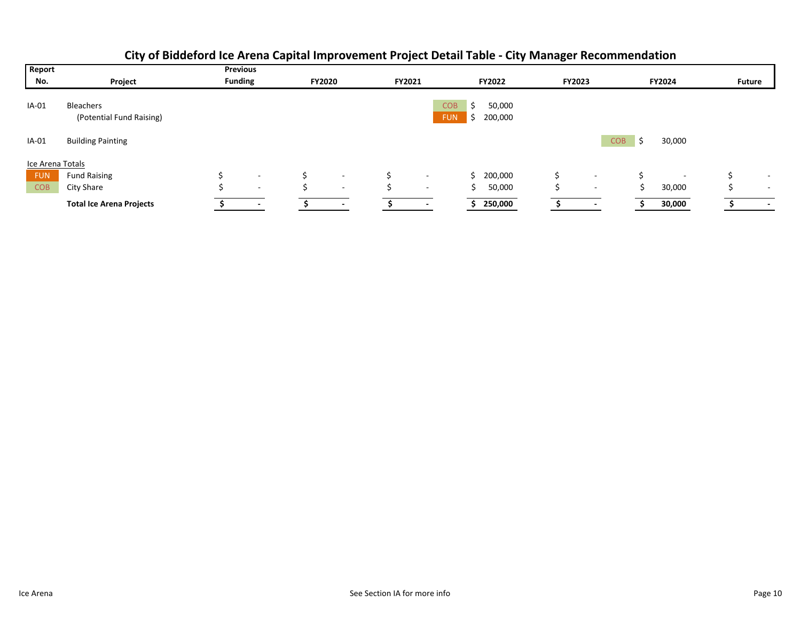| Report           |                                       | <b>Previous</b> |                          |               |                          |        |                          |                               |                   |               |                          |                  |                          |               |                          |
|------------------|---------------------------------------|-----------------|--------------------------|---------------|--------------------------|--------|--------------------------|-------------------------------|-------------------|---------------|--------------------------|------------------|--------------------------|---------------|--------------------------|
| No.              | Project                               | <b>Funding</b>  |                          | <b>FY2020</b> |                          | FY2021 |                          |                               | <b>FY2022</b>     | <b>FY2023</b> |                          |                  | FY2024                   | <b>Future</b> |                          |
| IA-01            | Bleachers<br>(Potential Fund Raising) |                 |                          |               |                          |        |                          | <b>COB</b><br><b>FUN</b><br>↘ | 50,000<br>200,000 |               |                          |                  |                          |               |                          |
| IA-01            | <b>Building Painting</b>              |                 |                          |               |                          |        |                          |                               |                   |               |                          | <b>COB</b><br>Ŝ. | 30,000                   |               |                          |
| Ice Arena Totals |                                       |                 |                          |               |                          |        |                          |                               |                   |               |                          |                  |                          |               |                          |
| <b>FUN</b>       | <b>Fund Raising</b>                   |                 | $\overline{\phantom{a}}$ |               | $\overline{\phantom{0}}$ | Ś.     | $\overline{\phantom{a}}$ |                               | 200,000           |               | $\overline{\phantom{a}}$ |                  | $\overline{\phantom{a}}$ |               | $\overline{\phantom{a}}$ |
| <b>COB</b>       | City Share                            |                 | $\overline{\phantom{0}}$ |               | $\overline{\phantom{0}}$ |        | $\overline{\phantom{a}}$ | Ś.                            | 50,000            |               | $\overline{\phantom{0}}$ |                  | 30,000                   |               | $\overline{\phantom{0}}$ |
|                  | <b>Total Ice Arena Projects</b>       |                 |                          |               | $\overline{\phantom{a}}$ |        | $\overline{\phantom{a}}$ |                               | 250,000           |               |                          |                  | 30,000                   |               | $\overline{\phantom{a}}$ |

## **City of Biddeford Ice Arena Capital Improvement Project Detail Table ‐ City Manager Recommendation**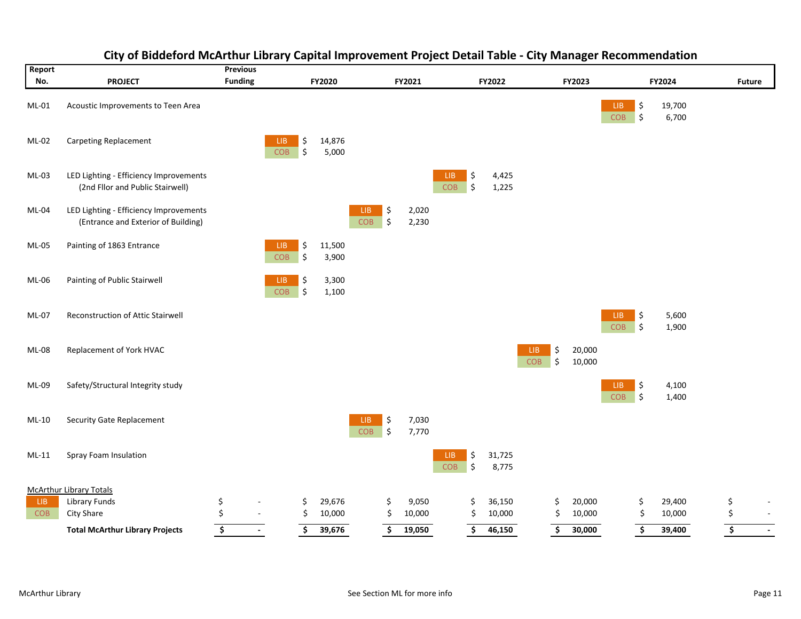| Report<br>No. | <b>PROJECT</b>                                                                | <b>Previous</b><br><b>Funding</b>         |          | FY2020          |                             | FY2021         |                          | FY2022          |                                | FY2023           |                    |          | FY2024          |                                 | <b>Future</b> |
|---------------|-------------------------------------------------------------------------------|-------------------------------------------|----------|-----------------|-----------------------------|----------------|--------------------------|-----------------|--------------------------------|------------------|--------------------|----------|-----------------|---------------------------------|---------------|
| ML-01         | Acoustic Improvements to Teen Area                                            |                                           |          |                 |                             |                |                          |                 |                                |                  | LIB.<br><b>COB</b> | \$<br>\$ | 19,700<br>6,700 |                                 |               |
| ML-02         | Carpeting Replacement                                                         | LIB.<br><b>COB</b>                        | \$<br>\$ | 14,876<br>5,000 |                             |                |                          |                 |                                |                  |                    |          |                 |                                 |               |
| ML-03         | LED Lighting - Efficiency Improvements<br>(2nd Fllor and Public Stairwell)    |                                           |          |                 |                             |                | \$<br>LIB.<br>∣\$<br>COB | 4,425<br>1,225  |                                |                  |                    |          |                 |                                 |               |
| ML-04         | LED Lighting - Efficiency Improvements<br>(Entrance and Exterior of Building) |                                           |          |                 | \$<br>LIB<br>COB<br>\$      | 2,020<br>2,230 |                          |                 |                                |                  |                    |          |                 |                                 |               |
| ML-05         | Painting of 1863 Entrance                                                     | LIB.<br>COB                               | \$<br>\$ | 11,500<br>3,900 |                             |                |                          |                 |                                |                  |                    |          |                 |                                 |               |
| ML-06         | Painting of Public Stairwell                                                  | LIB<br>COB                                | \$<br>\$ | 3,300<br>1,100  |                             |                |                          |                 |                                |                  |                    |          |                 |                                 |               |
| ML-07         | Reconstruction of Attic Stairwell                                             |                                           |          |                 |                             |                |                          |                 |                                |                  | LIB<br>COB         | \$<br>\$ | 5,600<br>1,900  |                                 |               |
| <b>ML-08</b>  | Replacement of York HVAC                                                      |                                           |          |                 |                             |                |                          |                 | \$<br>LIB.<br>\$<br><b>COB</b> | 20,000<br>10,000 |                    |          |                 |                                 |               |
| ML-09         | Safety/Structural Integrity study                                             |                                           |          |                 |                             |                |                          |                 |                                |                  | LIB<br>COB         | \$<br>\$ | 4,100<br>1,400  |                                 |               |
| ML-10         | <b>Security Gate Replacement</b>                                              |                                           |          |                 | \$<br>LIB<br>COB<br>$\zeta$ | 7,030<br>7,770 |                          |                 |                                |                  |                    |          |                 |                                 |               |
| $ML-11$       | Spray Foam Insulation                                                         |                                           |          |                 |                             |                | \$<br>LIB.<br>COB<br>\$  | 31,725<br>8,775 |                                |                  |                    |          |                 |                                 |               |
|               | <b>McArthur Library Totals</b>                                                |                                           |          |                 |                             |                |                          |                 |                                |                  |                    |          |                 |                                 |               |
| LIB.          | <b>Library Funds</b>                                                          | \$                                        | \$.      | 29,676          | \$.                         | 9,050          | \$.                      | 36,150          | \$                             | 20,000           |                    | \$       | 29,400          | \$                              |               |
| <b>COB</b>    | City Share                                                                    | \$<br>$\sim$                              | \$       | 10,000          |                             | 10,000<br>\$   | \$                       | 10,000          | \$                             | 10,000           |                    | \$       | 10,000          | \$                              | $\mathbf{r}$  |
|               | <b>Total McArthur Library Projects</b>                                        | $\overline{\boldsymbol{\zeta}}$<br>$\sim$ | \$       | 39,676          |                             | \$<br>19,050   | \$                       | 46,150          | \$                             | 30,000           |                    | \$       | 39,400          | $\overline{\boldsymbol{\zeta}}$ | $\sim$        |

## **City of Biddeford McArthur Library Capital Improvement Project Detail Table ‐ City Manager Recommendation**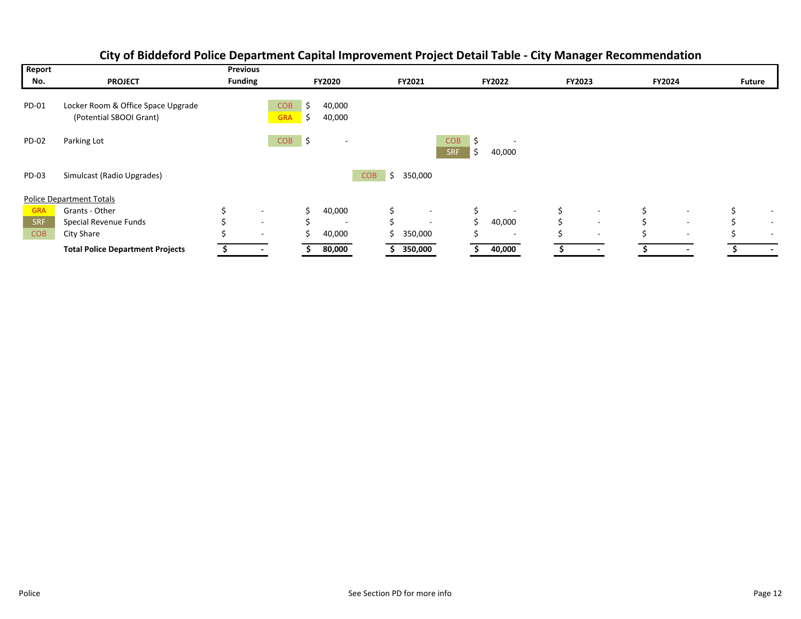| Report     |                                                               | <b>Previous</b>          |                          |          |                          |            |    |                          |                          |         |                          |               |                          |               |                          |               |                          |
|------------|---------------------------------------------------------------|--------------------------|--------------------------|----------|--------------------------|------------|----|--------------------------|--------------------------|---------|--------------------------|---------------|--------------------------|---------------|--------------------------|---------------|--------------------------|
| No.        | <b>PROJECT</b>                                                | <b>Funding</b>           |                          |          | <b>FY2020</b>            |            |    | FY2021                   |                          |         | <b>FY2022</b>            | <b>FY2023</b> |                          | <b>FY2024</b> |                          | <b>Future</b> |                          |
| PD-01      | Locker Room & Office Space Upgrade<br>(Potential SBOOI Grant) |                          | <b>COB</b><br><b>GRA</b> | S<br>\$. | 40,000<br>40,000         |            |    |                          |                          |         |                          |               |                          |               |                          |               |                          |
| PD-02      | Parking Lot                                                   |                          | <b>COB</b>               | \$       |                          |            |    |                          | <b>COB</b><br><b>SRF</b> | Ŝ.<br>S | ۰.<br>40,000             |               |                          |               |                          |               |                          |
| PD-03      | Simulcast (Radio Upgrades)                                    |                          |                          |          |                          | <b>COB</b> | Ś  | 350,000                  |                          |         |                          |               |                          |               |                          |               |                          |
|            | <b>Police Department Totals</b>                               |                          |                          |          |                          |            |    |                          |                          |         |                          |               |                          |               |                          |               |                          |
| <b>GRA</b> | Grants - Other                                                | $\sim$                   |                          |          | 40,000                   |            | \$ | $\overline{\phantom{a}}$ |                          | Ś       | $\overline{\phantom{a}}$ | \$            | $\overline{\phantom{a}}$ | \$            | $\overline{\phantom{a}}$ |               | $\overline{\phantom{a}}$ |
| SRF        | Special Revenue Funds                                         | $\overline{\phantom{a}}$ |                          |          | $\overline{\phantom{a}}$ |            | Ś  | $\overline{\phantom{a}}$ |                          | Ś.      | 40,000                   |               | $\overline{\phantom{a}}$ |               | $\overline{\phantom{a}}$ |               | $\sim$                   |
| <b>COB</b> | City Share                                                    | $\sim$                   |                          |          | 40,000                   |            |    | 350,000                  |                          |         | $\sim$                   |               | $\sim$                   |               | $\overline{\phantom{a}}$ |               | $\sim$                   |
|            | <b>Total Police Department Projects</b>                       | $\overline{\phantom{a}}$ |                          |          | 80,000                   |            |    | 350,000                  |                          |         | 40,000                   |               | ۰                        |               | ۰                        |               | $\overline{\phantom{a}}$ |

## **City of Biddeford Police Department Capital Improvement Project Detail Table ‐ City Manager Recommendation**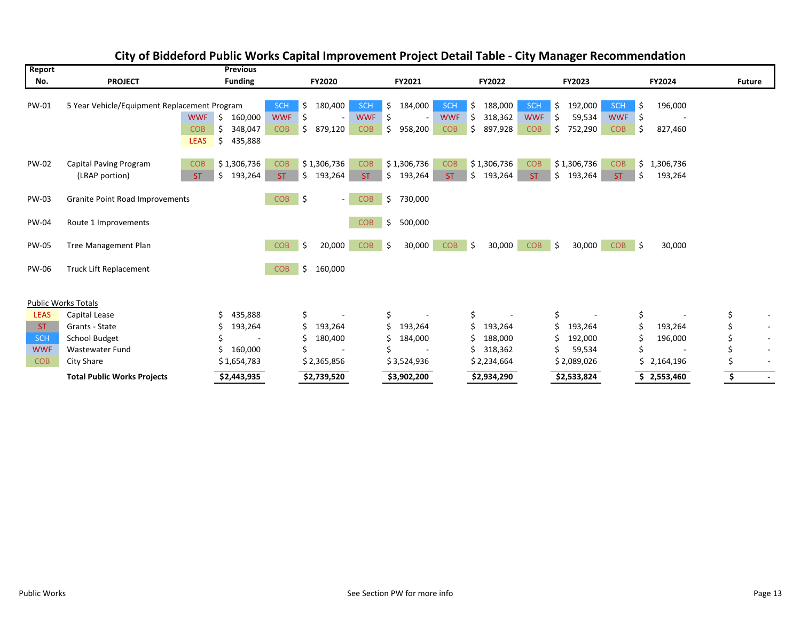| Report       |                                              | <b>Previous</b>                                                                             |                                                                                                                          |                                                 |                                                                                                                            |                                                                                           |                                                |                                |
|--------------|----------------------------------------------|---------------------------------------------------------------------------------------------|--------------------------------------------------------------------------------------------------------------------------|-------------------------------------------------|----------------------------------------------------------------------------------------------------------------------------|-------------------------------------------------------------------------------------------|------------------------------------------------|--------------------------------|
| No.          | <b>PROJECT</b>                               | <b>Funding</b>                                                                              |                                                                                                                          | FY2021                                          | FY2022                                                                                                                     | FY2023                                                                                    | FY2024                                         | <b>Future</b>                  |
| PW-01        | 5 Year Vehicle/Equipment Replacement Program | <b>WWF</b><br>160,000<br>\$<br>\$<br>348,047<br><b>COB</b><br><b>LEAS</b><br>\$.<br>435,888 | 180,400<br><b>SCH</b><br><b>SCH</b><br>\$<br><b>WWF</b><br>\$<br><b>WWF</b><br>\$<br><b>COB</b><br>879,120<br><b>COB</b> | 184,000<br>\$<br>-\$<br>$\sim$<br>\$<br>958,200 | 188,000<br>SCH<br><b>SCH</b><br>\$<br><b>WWF</b><br>318,362<br><b>WWF</b><br>Ŝ<br><b>COB</b><br>Ŝ<br>897,928<br><b>COB</b> | 192,000<br>\$.<br><b>SCH</b><br>59,534<br><b>WWF</b><br>Ŝ.<br>Ŝ.<br>752,290<br><b>COB</b> | \$<br>196,000<br>\$<br>$\sim$<br>\$<br>827,460 |                                |
| <b>PW-02</b> | Capital Paving Program<br>(LRAP portion)     | \$1,306,736<br><b>COB</b><br>\$193,264<br>ST.                                               | \$1,306,736<br><b>COB</b><br><b>COB</b><br>\$193,264<br><b>ST</b><br><b>ST</b>                                           | \$1,306,736<br>\$193,264                        | \$1,306,736<br><b>COB</b><br><b>COB</b><br>\$193,264<br><b>ST</b><br><b>ST</b>                                             | \$1,306,736<br><b>COB</b><br>\$193,264<br>ST.                                             | \$<br>1,306,736<br>\$<br>193,264               |                                |
| <b>PW-03</b> | Granite Point Road Improvements              |                                                                                             | \$<br><b>COB</b><br><b>COB</b><br>- 1                                                                                    | \$<br>730,000                                   |                                                                                                                            |                                                                                           |                                                |                                |
| <b>PW-04</b> | Route 1 Improvements                         |                                                                                             | <b>COB</b>                                                                                                               | \$<br>500,000                                   |                                                                                                                            |                                                                                           |                                                |                                |
| <b>PW-05</b> | <b>Tree Management Plan</b>                  |                                                                                             | \$<br><b>COB</b><br>20,000<br><b>COB</b>                                                                                 | 30,000<br>Ŝ.                                    | <b>COB</b><br>۱Ś<br>30,000<br><b>COB</b>                                                                                   | ۱Ś.<br>30,000<br><b>COB</b>                                                               | Ŝ.<br>30,000                                   |                                |
| <b>PW-06</b> | <b>Truck Lift Replacement</b>                |                                                                                             | \$<br>160,000<br><b>COB</b>                                                                                              |                                                 |                                                                                                                            |                                                                                           |                                                |                                |
|              | <b>Public Works Totals</b>                   |                                                                                             |                                                                                                                          |                                                 |                                                                                                                            |                                                                                           |                                                |                                |
| <b>LEAS</b>  | Capital Lease                                | 435,888<br>Ś                                                                                | \$                                                                                                                       | \$                                              | \$                                                                                                                         | \$                                                                                        | \$                                             | \$<br>$\overline{\phantom{a}}$ |
| ST.          | Grants - State                               | 193,264                                                                                     | 193,264                                                                                                                  | Ś<br>193,264                                    | Ś<br>193,264                                                                                                               | \$<br>193,264                                                                             | 193,264                                        | $\overline{\phantom{a}}$       |
| <b>SCH</b>   | School Budget                                |                                                                                             | 180,400                                                                                                                  | 184,000                                         | 188,000                                                                                                                    | 192,000<br>S                                                                              | 196,000                                        | $\overline{\phantom{a}}$       |
| <b>WWF</b>   | <b>Wastewater Fund</b>                       | 160,000                                                                                     |                                                                                                                          |                                                 | 318,362                                                                                                                    | 59,534                                                                                    |                                                | $\overline{\phantom{a}}$       |
| <b>COB</b>   | <b>City Share</b>                            | \$1,654,783                                                                                 | \$2,365,856                                                                                                              | \$3,524,936                                     | \$2,234,664                                                                                                                | \$2,089,026                                                                               | Ś.<br>2,164,196                                | $\overline{\phantom{a}}$       |
|              | <b>Total Public Works Projects</b>           | \$2,443,935                                                                                 | \$2,739,520                                                                                                              | \$3,902,200                                     | \$2,934,290                                                                                                                | \$2,533,824                                                                               | \$2,553,460                                    | \$<br>$\sim$                   |

## **City of Biddeford Public Works Capital Improvement Project Detail Table ‐ City Manager Recommendation**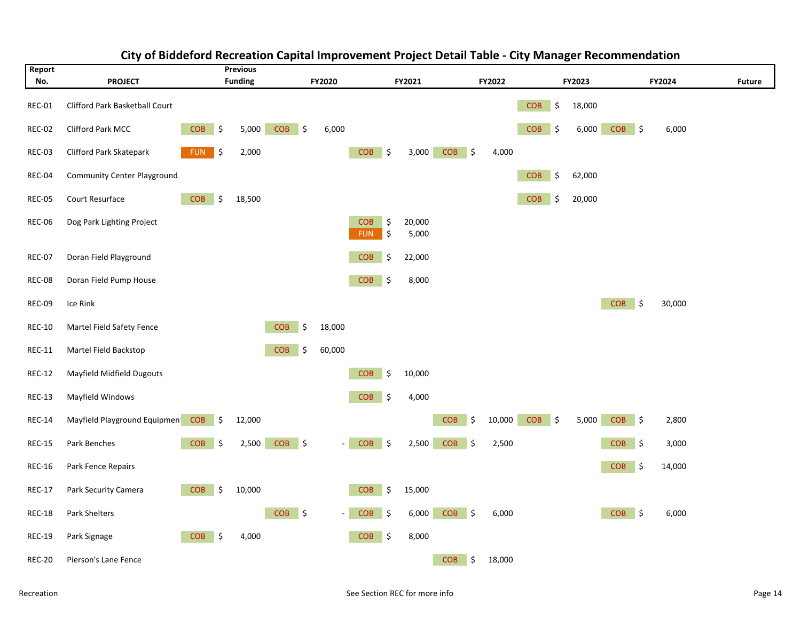

#### **City of Biddeford Recreation Capital Improvement Project Detail Table ‐ City Manager Recommendation**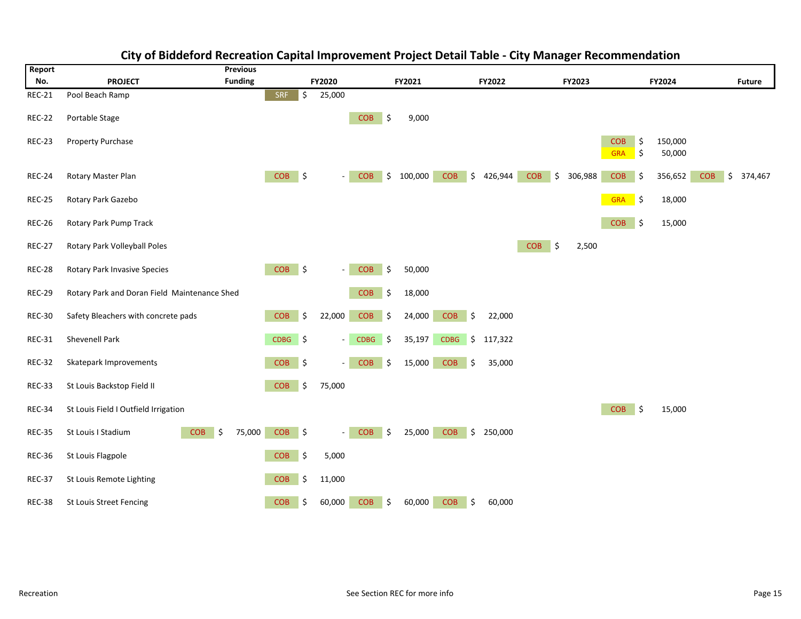

#### **City of Biddeford Recreation Capital Improvement Project Detail Table ‐ City Manager Recommendation**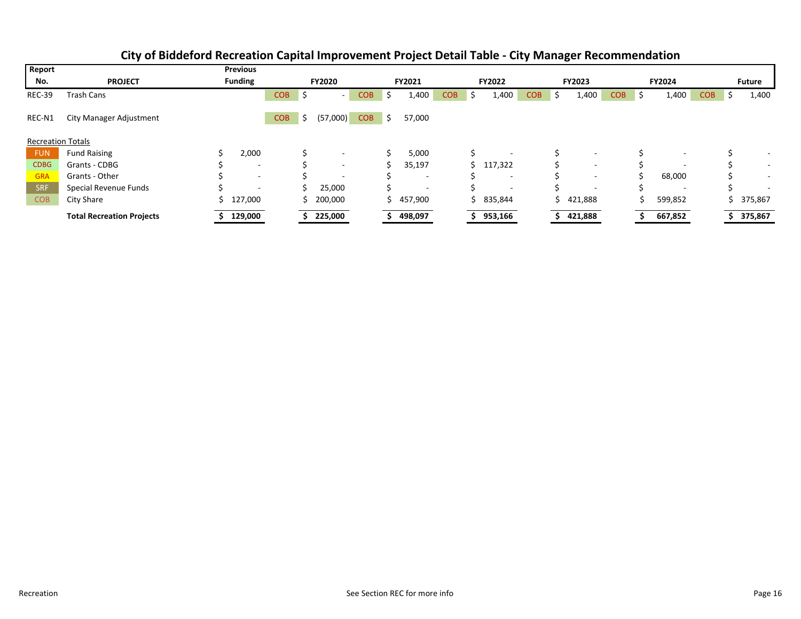| Report                   |                                  | <b>Previous</b>          |            |               |                          |            |        |                          |               |   |                          |            |   |               |            |               |                          |            |                          |
|--------------------------|----------------------------------|--------------------------|------------|---------------|--------------------------|------------|--------|--------------------------|---------------|---|--------------------------|------------|---|---------------|------------|---------------|--------------------------|------------|--------------------------|
| No.                      | <b>PROJECT</b>                   | <b>Funding</b>           |            | <b>FY2020</b> |                          |            | FY2021 |                          | <b>FY2022</b> |   | <b>FY2023</b>            |            |   | <b>FY2024</b> |            | <b>Future</b> |                          |            |                          |
| <b>REC-39</b>            | Trash Cans                       |                          | <b>COB</b> |               |                          | <b>COB</b> | ь      | 1,400                    | <b>COB</b>    | S | 1,400                    | <b>COB</b> | S | 1,400         | <b>COB</b> | -S            | 1,400                    | <b>COB</b> | 1,400                    |
| REC-N1                   | <b>City Manager Adjustment</b>   |                          | <b>COB</b> | \$.           | (57,000)                 | <b>COB</b> | S.     | 57,000                   |               |   |                          |            |   |               |            |               |                          |            |                          |
| <b>Recreation Totals</b> |                                  |                          |            |               |                          |            |        |                          |               |   |                          |            |   |               |            |               |                          |            |                          |
| <b>FUN</b>               | <b>Fund Raising</b>              | 2,000                    |            |               |                          |            |        | 5,000                    |               |   | $\overline{\phantom{a}}$ |            |   |               |            |               |                          |            | $\overline{\phantom{a}}$ |
| <b>CDBG</b>              | Grants - CDBG                    |                          |            |               |                          |            |        | 35,197                   |               |   | \$117,322                |            |   | ۰             |            |               |                          |            | $\overline{\phantom{a}}$ |
| <b>GRA</b>               | Grants - Other                   | $\overline{\phantom{a}}$ |            |               | $\overline{\phantom{a}}$ |            |        | $\overline{\phantom{a}}$ |               |   | $\sim$                   |            |   | ۰             |            |               | 68,000                   |            | $\overline{\phantom{a}}$ |
| <b>SRF</b>               | Special Revenue Funds            |                          |            |               | 25,000                   |            |        | $\overline{\phantom{a}}$ |               |   | $\overline{\phantom{a}}$ |            |   | -             |            |               | $\overline{\phantom{a}}$ |            | $\overline{\phantom{a}}$ |
| <b>COB</b>               | City Share                       | 127,000                  |            |               | 200,000                  |            |        | 457,900                  |               |   | \$835,844                |            |   | \$421,888     |            |               | 599,852                  |            | 375,867                  |
|                          | <b>Total Recreation Projects</b> | 129,000                  |            |               | 225,000                  |            |        | 498,097                  |               |   | 953,166                  |            |   | 421,888       |            |               | 667,852                  |            | 375,867                  |

#### **City of Biddeford Recreation Capital Improvement Project Detail Table ‐ City Manager Recommendation**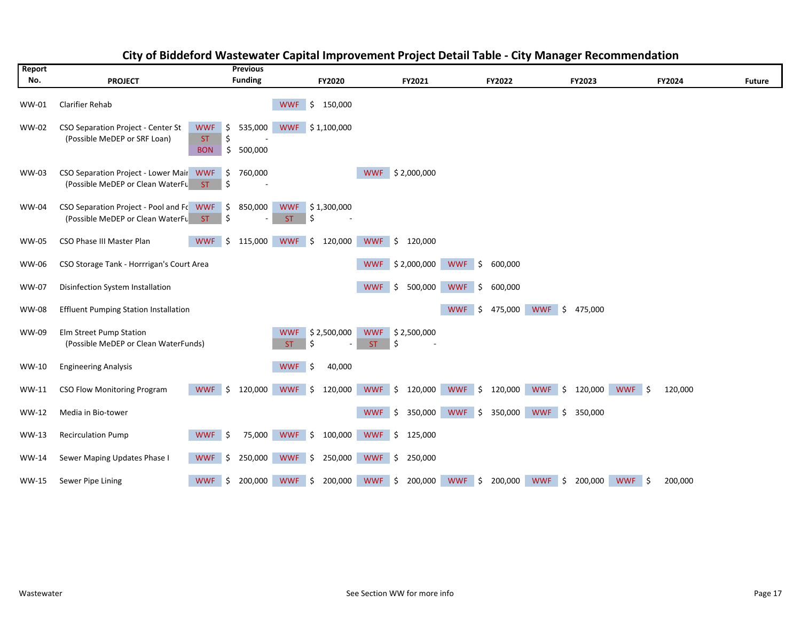| Report       |                                                                                 | <b>Previous</b>                                                               |                                              |                                              |                             |                                           |                   |               |
|--------------|---------------------------------------------------------------------------------|-------------------------------------------------------------------------------|----------------------------------------------|----------------------------------------------|-----------------------------|-------------------------------------------|-------------------|---------------|
| No.          | <b>PROJECT</b>                                                                  | <b>Funding</b>                                                                | <b>FY2020</b>                                | FY2021                                       | FY2022                      | <b>FY2023</b>                             | FY2024            | <b>Future</b> |
| WW-01        | Clarifier Rehab                                                                 |                                                                               | <b>WWF</b><br>150,000<br>\$                  |                                              |                             |                                           |                   |               |
| <b>WW-02</b> | CSO Separation Project - Center St<br>(Possible MeDEP or SRF Loan)              | <b>WWF</b><br>\$<br>535,000<br>\$<br><b>ST</b><br>\$<br>500,000<br><b>BON</b> | <b>WWF</b><br>\$1,100,000                    |                                              |                             |                                           |                   |               |
| WW-03        | CSO Separation Project - Lower Mair WWF \$<br>(Possible MeDEP or Clean WaterFu  | 760,000<br>ST<br>ا \$                                                         |                                              | WWF \$2,000,000                              |                             |                                           |                   |               |
| <b>WW-04</b> | CSO Separation Project - Pool and Fo WWF \$<br>(Possible MeDEP or Clean WaterFu | 850,000<br>\$<br>ST.                                                          | <b>WWF</b><br>\$1,300,000<br>\$<br>ST.       |                                              |                             |                                           |                   |               |
| <b>WW-05</b> | CSO Phase III Master Plan                                                       | <b>WWF</b><br>\$<br>115,000                                                   | <b>WWF</b><br>\$<br>120,000                  | WWF \$<br>120,000                            |                             |                                           |                   |               |
| WW-06        | CSO Storage Tank - Horrrigan's Court Area                                       |                                                                               |                                              | WWF \$2,000,000                              | <b>WWF</b><br>\$<br>600,000 |                                           |                   |               |
| <b>WW-07</b> | Disinfection System Installation                                                |                                                                               |                                              | <b>WWF</b><br>\$<br>500,000                  | <b>WWF</b><br>\$<br>600,000 |                                           |                   |               |
| <b>WW-08</b> | <b>Effluent Pumping Station Installation</b>                                    |                                                                               |                                              |                                              | <b>WWF</b><br>\$<br>475,000 | <b>WWF</b><br>\$<br>475,000               |                   |               |
| WW-09        | Elm Street Pump Station<br>(Possible MeDEP or Clean WaterFunds)                 |                                                                               | \$2,500,000<br><b>WWF</b><br><b>ST</b><br>\$ | <b>WWF</b><br>\$2,500,000<br>\$<br><b>ST</b> |                             |                                           |                   |               |
| WW-10        | <b>Engineering Analysis</b>                                                     |                                                                               | <b>WWF</b><br>40,000<br>\$                   |                                              |                             |                                           |                   |               |
| WW-11        | <b>CSO Flow Monitoring Program</b>                                              | <b>WWF</b><br>Ŝ.<br>120,000                                                   | <b>WWF</b><br>Ŝ.<br>120,000                  | <b>WWF</b><br>5<br>120,000                   | <b>WWF</b><br>Ŝ.<br>120,000 | WWF \$<br>120,000                         | WWF \$<br>120,000 |               |
| WW-12        | Media in Bio-tower                                                              |                                                                               |                                              | <b>WWF</b><br>\$<br>350,000                  | <b>WWF</b><br>350,000<br>\$ | WWF \$<br>350,000                         |                   |               |
| WW-13        | <b>Recirculation Pump</b>                                                       | <b>WWF</b><br>75,000<br>- 5                                                   | <b>WWF</b><br>100,000<br>$\vert$ \$          | WWF \$<br>125,000                            |                             |                                           |                   |               |
| WW-14        | Sewer Maping Updates Phase I                                                    | <b>WWF</b><br>Ŝ.<br>250,000                                                   | <b>WWF</b><br>250,000<br>\$                  | WWF \$<br>250,000                            |                             |                                           |                   |               |
| WW-15        | Sewer Pipe Lining                                                               | \$<br>200,000<br><b>WWF</b>                                                   | 200,000<br><b>WWF</b><br>\$                  | <b>WWF</b><br>\$<br>200,000                  | <b>WWF</b><br>\$<br>200,000 | <b>WWF</b><br>\$<br>200,000<br><b>WWF</b> | \$<br>200,000     |               |

### **City of Biddeford Wastewater Capital Improvement Project Detail Table ‐ City Manager Recommendation**